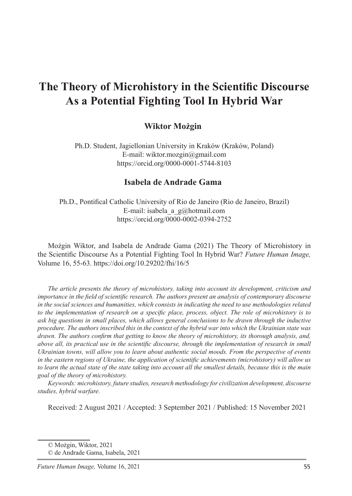# **The Theory of Microhistory in the Scientific Discourse As a Potential Fighting Tool In Hybrid War**

### **Wiktor Możgin**

Ph.D. Student, Jagiellonian University in Kraków (Kraków, Poland) E-mail: wiktor.mozgin@gmail.com https://orcid.org/0000-0001-5744-8103

#### **Isabela de Andrade Gama**

Ph.D., Pontifical Catholic University of Rio de Janeiro (Rio de Janeiro, Brazil) E-mail: isabela a  $g(\vec{a})$ hotmail.com https://orcid.org/0000-0002-0394-2752

Możgin Wiktor, and Isabela de Andrade Gama (2021) The Theory of Microhistory in the Scientific Discourse As a Potential Fighting Tool In Hybrid War? *Future Human Image,* Volume 16, 55-63. https://doi.org/10.29202/fhi/16/5

*The article presents the theory of microhistory, taking into account its development, criticism and importance in the field of scientific research. The authors present an analysis of contemporary discourse in the social sciences and humanities, which consists in indicating the need to use methodologies related to the implementation of research on a specific place, process, object. The role of microhistory is to ask big questions in small places, which allows general conclusions to be drawn through the inductive procedure. The authors inscribed this in the context of the hybrid war into which the Ukrainian state was drawn. The authors confirm that getting to know the theory of microhistory, its thorough analysis, and, above all, its practical use in the scientific discourse, through the implementation of research in small Ukrainian towns, will allow you to learn about authentic social moods. From the perspective of events in the eastern regions of Ukraine, the application of scientific achievements (microhistory) will allow us to learn the actual state of the state taking into account all the smallest details, because this is the main goal of the theory of microhistory.*

*Keywords: microhistory, future studies, research methodology for civilization development, discourse studies, hybrid warfare.*

Received: 2 August 2021 / Accepted: 3 September 2021 / Published: 15 November 2021

<sup>©</sup> Możgin, Wiktor, 2021

<sup>©</sup> de Andrade Gama, Isabela, 2021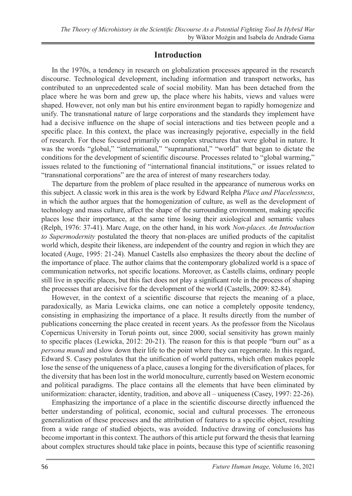## **Introduction**

In the 1970s, a tendency in research on globalization processes appeared in the research discourse. Technological development, including information and transport networks, has contributed to an unprecedented scale of social mobility. Man has been detached from the place where he was born and grew up, the place where his habits, views and values were shaped. However, not only man but his entire environment began to rapidly homogenize and unify. The transnational nature of large corporations and the standards they implement have had a decisive influence on the shape of social interactions and ties between people and a specific place. In this context, the place was increasingly pejorative, especially in the field of research. For these focused primarily on complex structures that were global in nature. It was the words "global," "international," "supranational," "world" that began to dictate the conditions for the development of scientific discourse. Processes related to "global warming," issues related to the functioning of "international financial institutions," or issues related to "transnational corporations" are the area of interest of many researchers today.

The departure from the problem of place resulted in the appearance of numerous works on this subject. A classic work in this area is the work by Edward Relpha *Place and Placelessness*, in which the author argues that the homogenization of culture, as well as the development of technology and mass culture, affect the shape of the surrounding environment, making specific places lose their importance, at the same time losing their axiological and semantic values (Relph, 1976: 37-41). Marc Auge, on the other hand, in his work *Non-places. An Introduction to Supermodernity* postulated the theory that non-places are unified products of the capitalist world which, despite their likeness, are independent of the country and region in which they are located (Auge, 1995: 21-24). Manuel Castells also emphasizes the theory about the decline of the importance of place. The author claims that the contemporary globalized world is a space of communication networks, not specific locations. Moreover, as Castells claims, ordinary people still live in specific places, but this fact does not play a significant role in the process of shaping the processes that are decisive for the development of the world (Castells, 2009: 82-84).

However, in the context of a scientific discourse that rejects the meaning of a place, paradoxically, as Maria Lewicka claims, one can notice a completely opposite tendency, consisting in emphasizing the importance of a place. It results directly from the number of publications concerning the place created in recent years. As the professor from the Nicolaus Copernicus University in Toruń points out, since 2000, social sensitivity has grown mainly to specific places (Lewicka, 2012: 20-21). The reason for this is that people "burn out" as a *persona mundi* and slow down their life to the point where they can regenerate. In this regard, Edward S. Casey postulates that the unification of world patterns, which often makes people lose the sense of the uniqueness of a place, causes a longing for the diversification of places, for the diversity that has been lost in the world monoculture, currently based on Western economic and political paradigms. The place contains all the elements that have been eliminated by uniformization: character, identity, tradition, and above all – uniqueness (Casey, 1997: 22-26).

Emphasizing the importance of a place in the scientific discourse directly influenced the better understanding of political, economic, social and cultural processes. The erroneous generalization of these processes and the attribution of features to a specific object, resulting from a wide range of studied objects, was avoided. Inductive drawing of conclusions has become important in this context. The authors of this article put forward the thesis that learning about complex structures should take place in points, because this type of scientific reasoning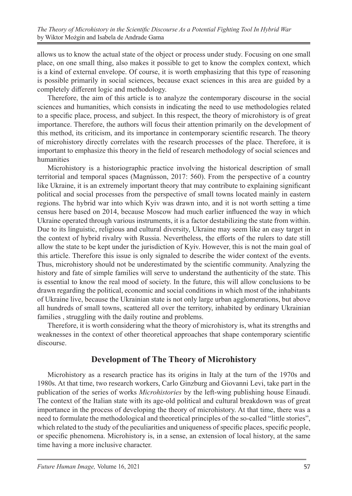allows us to know the actual state of the object or process under study. Focusing on one small place, on one small thing, also makes it possible to get to know the complex context, which is a kind of external envelope. Of course, it is worth emphasizing that this type of reasoning is possible primarily in social sciences, because exact sciences in this area are guided by a completely different logic and methodology.

Therefore, the aim of this article is to analyze the contemporary discourse in the social sciences and humanities, which consists in indicating the need to use methodologies related to a specific place, process, and subject. In this respect, the theory of microhistory is of great importance. Therefore, the authors will focus their attention primarily on the development of this method, its criticism, and its importance in contemporary scientific research. The theory of microhistory directly correlates with the research processes of the place. Therefore, it is important to emphasize this theory in the field of research methodology of social sciences and humanities

Microhistory is a historiographic practice involving the historical description of small territorial and temporal spaces (Magnússon, 2017: 560). From the perspective of a country like Ukraine, it is an extremely important theory that may contribute to explaining significant political and social processes from the perspective of small towns located mainly in eastern regions. The hybrid war into which Kyiv was drawn into, and it is not worth setting a time census here based on 2014, because Moscow had much earlier influenced the way in which Ukraine operated through various instruments, it is a factor destabilizing the state from within. Due to its linguistic, religious and cultural diversity, Ukraine may seem like an easy target in the context of hybrid rivalry with Russia. Nevertheless, the efforts of the rulers to date still allow the state to be kept under the jurisdiction of Kyiv. However, this is not the main goal of this article. Therefore this issue is only signaled to describe the wider context of the events. Thus, microhistory should not be underestimated by the scientific community. Analyzing the history and fate of simple families will serve to understand the authenticity of the state. This is essential to know the real mood of society. In the future, this will allow conclusions to be drawn regarding the political, economic and social conditions in which most of the inhabitants of Ukraine live, because the Ukrainian state is not only large urban agglomerations, but above all hundreds of small towns, scattered all over the territory, inhabited by ordinary Ukrainian families , struggling with the daily routine and problems.

Therefore, it is worth considering what the theory of microhistory is, what its strengths and weaknesses in the context of other theoretical approaches that shape contemporary scientific discourse.

## **Development of The Theory of Microhistory**

Microhistory as a research practice has its origins in Italy at the turn of the 1970s and 1980s. At that time, two research workers, Carlo Ginzburg and Giovanni Levi, take part in the publication of the series of works *Microhistories* by the left-wing publishing house Einaudi. The context of the Italian state with its age-old political and cultural breakdown was of great importance in the process of developing the theory of microhistory. At that time, there was a need to formulate the methodological and theoretical principles of the so-called "little stories", which related to the study of the peculiarities and uniqueness of specific places, specific people, or specific phenomena. Microhistory is, in a sense, an extension of local history, at the same time having a more inclusive character.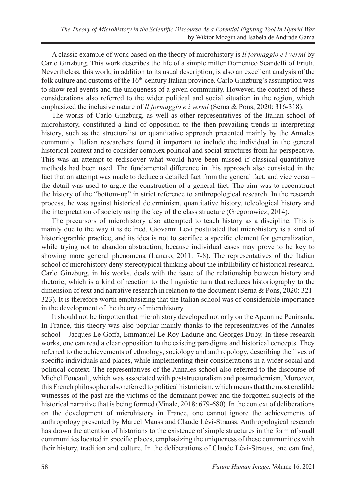A classic example of work based on the theory of microhistory is *Il formaggio e i vermi* by Carlo Ginzburg. This work describes the life of a simple miller Domenico Scandelli of Friuli. Nevertheless, this work, in addition to its usual description, is also an excellent analysis of the folk culture and customs of the  $16<sup>th</sup>$ -century Italian province. Carlo Ginzburg's assumption was to show real events and the uniqueness of a given community. However, the context of these considerations also referred to the wider political and social situation in the region, which emphasized the inclusive nature of *Il formaggio e i vermi* (Serna & Pons, 2020: 316-318).

The works of Carlo Ginzburg, as well as other representatives of the Italian school of microhistory, constituted a kind of opposition to the then-prevailing trends in interpreting history, such as the structuralist or quantitative approach presented mainly by the Annales community. Italian researchers found it important to include the individual in the general historical context and to consider complex political and social structures from his perspective. This was an attempt to rediscover what would have been missed if classical quantitative methods had been used. The fundamental difference in this approach also consisted in the fact that an attempt was made to deduce a detailed fact from the general fact, and vice versa – the detail was used to argue the construction of a general fact. The aim was to reconstruct the history of the "bottom-up" in strict reference to anthropological research. In the research process, he was against historical determinism, quantitative history, teleological history and the interpretation of society using the key of the class structure (Gregorowicz, 2014).

The precursors of microhistory also attempted to teach history as a discipline. This is mainly due to the way it is defined. Giovanni Levi postulated that microhistory is a kind of historiographic practice, and its idea is not to sacrifice a specific element for generalization, while trying not to abandon abstraction, because individual cases may prove to be key to showing more general phenomena (Lanaro, 2011: 7-8). The representatives of the Italian school of microhistory deny stereotypical thinking about the infallibility of historical research. Carlo Ginzburg, in his works, deals with the issue of the relationship between history and rhetoric, which is a kind of reaction to the linguistic turn that reduces historiography to the dimension of text and narrative research in relation to the document (Serna & Pons, 2020: 321- 323). It is therefore worth emphasizing that the Italian school was of considerable importance in the development of the theory of microhistory.

It should not be forgotten that microhistory developed not only on the Apennine Peninsula. In France, this theory was also popular mainly thanks to the representatives of the Annales school – Jacques Le Goffa, Emmanuel Le Roy Ladurie and Georges Duby. In these research works, one can read a clear opposition to the existing paradigms and historical concepts. They referred to the achievements of ethnology, sociology and anthropology, describing the lives of specific individuals and places, while implementing their considerations in a wider social and political context. The representatives of the Annales school also referred to the discourse of Michel Foucault, which was associated with poststructuralism and postmodernism. Moreover, this French philosopher also referred to political historicism, which means that the most credible witnesses of the past are the victims of the dominant power and the forgotten subjects of the historical narrative that is being formed (Vinale, 2018: 679-680). In the context of deliberations on the development of microhistory in France, one cannot ignore the achievements of anthropology presented by Marcel Mauss and Claude Lévi-Strauss. Anthropological research has drawn the attention of historians to the existence of simple structures in the form of small communities located in specific places, emphasizing the uniqueness of these communities with their history, tradition and culture. In the deliberations of Claude Lévi-Strauss, one can find,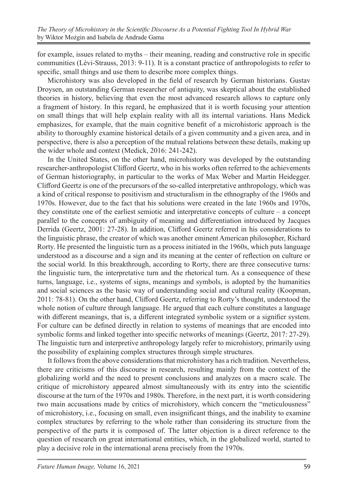for example, issues related to myths – their meaning, reading and constructive role in specific communities (Lévi-Strauss, 2013: 9-11). It is a constant practice of anthropologists to refer to specific, small things and use them to describe more complex things.

Microhistory was also developed in the field of research by German historians. Gustav Droysen, an outstanding German researcher of antiquity, was skeptical about the established theories in history, believing that even the most advanced research allows to capture only a fragment of history. In this regard, he emphasized that it is worth focusing your attention on small things that will help explain reality with all its internal variations. Hans Medick emphasizes, for example, that the main cognitive benefit of a microhistoric approach is the ability to thoroughly examine historical details of a given community and a given area, and in perspective, there is also a perception of the mutual relations between these details, making up the wider whole and context (Medick, 2016: 241-242).

In the United States, on the other hand, microhistory was developed by the outstanding researcher-anthropologist Clifford Geertz, who in his works often referred to the achievements of German historiography, in particular to the works of Max Weber and Martin Heidegger. Clifford Geertz is one of the precursors of the so-called interpretative anthropology, which was a kind of critical response to positivism and structuralism in the ethnography of the 1960s and 1970s. However, due to the fact that his solutions were created in the late 1960s and 1970s, they constitute one of the earliest semiotic and interpretative concepts of culture – a concept parallel to the concepts of ambiguity of meaning and differentiation introduced by Jacques Derrida (Geertz, 2001: 27-28). In addition, Clifford Geertz referred in his considerations to the linguistic phrase, the creator of which was another eminent American philosopher, Richard Rorty. He presented the linguistic turn as a process initiated in the 1960s, which puts language understood as a discourse and a sign and its meaning at the center of reflection on culture or the social world. In this breakthrough, according to Rorty, there are three consecutive turns: the linguistic turn, the interpretative turn and the rhetorical turn. As a consequence of these turns, language, i.e., systems of signs, meanings and symbols, is adopted by the humanities and social sciences as the basic way of understanding social and cultural reality (Koopman, 2011: 78-81). On the other hand, Clifford Geertz, referring to Rorty's thought, understood the whole notion of culture through language. He argued that each culture constitutes a language with different meanings, that is, a different integrated symbolic system or a signifier system. For culture can be defined directly in relation to systems of meanings that are encoded into symbolic forms and linked together into specific networks of meanings (Geertz, 2017: 27-29). The linguistic turn and interpretive anthropology largely refer to microhistory, primarily using the possibility of explaining complex structures through simple structures.

It follows from the above considerations that microhistory has a rich tradition. Nevertheless, there are criticisms of this discourse in research, resulting mainly from the context of the globalizing world and the need to present conclusions and analyzes on a macro scale. The critique of microhistory appeared almost simultaneously with its entry into the scientific discourse at the turn of the 1970s and 1980s. Therefore, in the next part, it is worth considering two main accusations made by critics of microhistory, which concern the "meticulousness" of microhistory, i.e., focusing on small, even insignificant things, and the inability to examine complex structures by referring to the whole rather than considering its structure from the perspective of the parts it is composed of. The latter objection is a direct reference to the question of research on great international entities, which, in the globalized world, started to play a decisive role in the international arena precisely from the 1970s.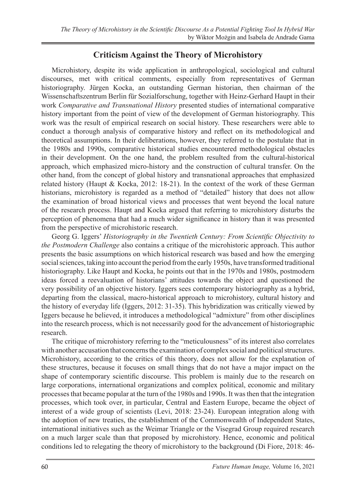## **Criticism Against the Theory of Microhistory**

Microhistory, despite its wide application in anthropological, sociological and cultural discourses, met with critical comments, especially from representatives of German historiography. Jürgen Kocka, an outstanding German historian, then chairman of the Wissenschaftszentrum Berlin für Sozialforschung, together with Heinz-Gerhard Haupt in their work *Comparative and Transnational History* presented studies of international comparative history important from the point of view of the development of German historiography. This work was the result of empirical research on social history. These researchers were able to conduct a thorough analysis of comparative history and reflect on its methodological and theoretical assumptions. In their deliberations, however, they referred to the postulate that in the 1980s and 1990s, comparative historical studies encountered methodological obstacles in their development. On the one hand, the problem resulted from the cultural-historical approach, which emphasized micro-history and the construction of cultural transfer. On the other hand, from the concept of global history and transnational approaches that emphasized related history (Haupt & Kocka, 2012: 18-21). In the context of the work of these German historians, microhistory is regarded as a method of "detailed" history that does not allow the examination of broad historical views and processes that went beyond the local nature of the research process. Haupt and Kocka argued that referring to microhistory disturbs the perception of phenomena that had a much wider significance in history than it was presented from the perspective of microhistoric research.

Georg G. Iggers' *Historiography in the Twentieth Century: From Scientific Objectivity to the Postmodern Challenge* also contains a critique of the microhistoric approach. This author presents the basic assumptions on which historical research was based and how the emerging social sciences, taking into account the period from the early 1950s, have transformed traditional historiography. Like Haupt and Kocka, he points out that in the 1970s and 1980s, postmodern ideas forced a reevaluation of historians' attitudes towards the object and questioned the very possibility of an objective history. Iggers sees contemporary historiography as a hybrid, departing from the classical, macro-historical approach to microhistory, cultural history and the history of everyday life (Iggers, 2012: 31-35). This hybridization was critically viewed by Iggers because he believed, it introduces a methodological "admixture" from other disciplines into the research process, which is not necessarily good for the advancement of historiographic research.

The critique of microhistory referring to the "meticulousness" of its interest also correlates with another accusation that concerns the examination of complex social and political structures. Microhistory, according to the critics of this theory, does not allow for the explanation of these structures, because it focuses on small things that do not have a major impact on the shape of contemporary scientific discourse. This problem is mainly due to the research on large corporations, international organizations and complex political, economic and military processes that became popular at the turn of the 1980s and 1990s. It was then that the integration processes, which took over, in particular, Central and Eastern Europe, became the object of interest of a wide group of scientists (Levi, 2018: 23-24). European integration along with the adoption of new treaties, the establishment of the Commonwealth of Independent States, international initiatives such as the Weimar Triangle or the Visegrad Group required research on a much larger scale than that proposed by microhistory. Hence, economic and political conditions led to relegating the theory of microhistory to the background (Di Fiore, 2018: 46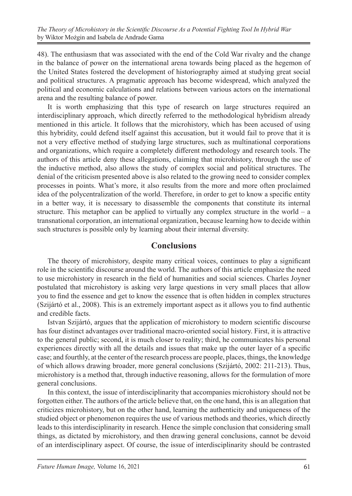48). The enthusiasm that was associated with the end of the Cold War rivalry and the change in the balance of power on the international arena towards being placed as the hegemon of the United States fostered the development of historiography aimed at studying great social and political structures. A pragmatic approach has become widespread, which analyzed the political and economic calculations and relations between various actors on the international arena and the resulting balance of power.

It is worth emphasizing that this type of research on large structures required an interdisciplinary approach, which directly referred to the methodological hybridism already mentioned in this article. It follows that the microhistory, which has been accused of using this hybridity, could defend itself against this accusation, but it would fail to prove that it is not a very effective method of studying large structures, such as multinational corporations and organizations, which require a completely different methodology and research tools. The authors of this article deny these allegations, claiming that microhistory, through the use of the inductive method, also allows the study of complex social and political structures. The denial of the criticism presented above is also related to the growing need to consider complex processes in points. What's more, it also results from the more and more often proclaimed idea of the polycentralization of the world. Therefore, in order to get to know a specific entity in a better way, it is necessary to disassemble the components that constitute its internal structure. This metaphor can be applied to virtually any complex structure in the world – a transnational corporation, an international organization, because learning how to decide within such structures is possible only by learning about their internal diversity.

#### **Conclusions**

The theory of microhistory, despite many critical voices, continues to play a significant role in the scientific discourse around the world. The authors of this article emphasize the need to use microhistory in research in the field of humanities and social sciences. Charles Joyner postulated that microhistory is asking very large questions in very small places that allow you to find the essence and get to know the essence that is often hidden in complex structures (Szijártó et al., 2008). This is an extremely important aspect as it allows you to find authentic and credible facts.

Istvan Szijártó, argues that the application of microhistory to modern scientific discourse has four distinct advantages over traditional macro-oriented social history. First, it is attractive to the general public; second, it is much closer to reality; third, he communicates his personal experiences directly with all the details and issues that make up the outer layer of a specific case; and fourthly, at the center of the research process are people, places, things, the knowledge of which allows drawing broader, more general conclusions (Szijártó, 2002: 211-213). Thus, microhistory is a method that, through inductive reasoning, allows for the formulation of more general conclusions.

In this context, the issue of interdisciplinarity that accompanies microhistory should not be forgotten either. The authors of the article believe that, on the one hand, this is an allegation that criticizes microhistory, but on the other hand, learning the authenticity and uniqueness of the studied object or phenomenon requires the use of various methods and theories, which directly leads to this interdisciplinarity in research. Hence the simple conclusion that considering small things, as dictated by microhistory, and then drawing general conclusions, cannot be devoid of an interdisciplinary aspect. Of course, the issue of interdisciplinarity should be contrasted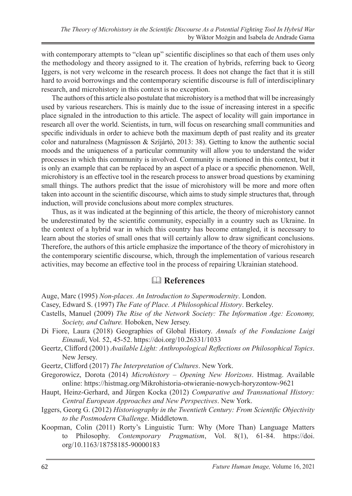with contemporary attempts to "clean up" scientific disciplines so that each of them uses only the methodology and theory assigned to it. The creation of hybrids, referring back to Georg Iggers, is not very welcome in the research process. It does not change the fact that it is still hard to avoid borrowings and the contemporary scientific discourse is full of interdisciplinary research, and microhistory in this context is no exception.

The authors of this article also postulate that microhistory is a method that will be increasingly used by various researchers. This is mainly due to the issue of increasing interest in a specific place signaled in the introduction to this article. The aspect of locality will gain importance in research all over the world. Scientists, in turn, will focus on researching small communities and specific individuals in order to achieve both the maximum depth of past reality and its greater color and naturalness (Magnússon & Szíjártó, 2013: 38). Getting to know the authentic social moods and the uniqueness of a particular community will allow you to understand the wider processes in which this community is involved. Community is mentioned in this context, but it is only an example that can be replaced by an aspect of a place or a specific phenomenon. Well, microhistory is an effective tool in the research process to answer broad questions by examining small things. The authors predict that the issue of microhistory will be more and more often taken into account in the scientific discourse, which aims to study simple structures that, through induction, will provide conclusions about more complex structures.

Thus, as it was indicated at the beginning of this article, the theory of microhistory cannot be underestimated by the scientific community, especially in a country such as Ukraine. In the context of a hybrid war in which this country has become entangled, it is necessary to learn about the stories of small ones that will certainly allow to draw significant conclusions. Therefore, the authors of this article emphasize the importance of the theory of microhistory in the contemporary scientific discourse, which, through the implementation of various research activities, may become an effective tool in the process of repairing Ukrainian statehood.

#### **References**

Auge, Marc (1995) *Non-places. An Introduction to Supermodernity*. London.

- Casey, Edward S. (1997) *The Fate of Place. A Philosophical History*. Berkeley.
- Castells, Manuel (2009) *The Rise of the Network Society: The Information Age: Economy, Society, and Culture.* Hoboken, New Jersey.
- Di Fiore, Laura (2018) Geographies of Global History. *Annals of the Fondazione Luigi Einaudi*, Vol. 52, 45-52. https://doi.org/10.26331/1033
- Geertz, Clifford (2001) *Available Light: Anthropological Reflections on Philosophical Topics*. New Jersey.
- Geertz, Clifford (2017) *The Interpretation of Cultures*. New York.
- Gregorowicz, Dorota (2014) *Microhistory Opening New Horizons*. Histmag. Available online: https://histmag.org/Mikrohistoria-otwieranie-nowych-horyzontow-9621
- Haupt, Heinz-Gerhard, and Jürgen Kocka (2012) *Comparative and Transnational History: Central European Approaches and New Perspectives*. New York.
- Iggers, Georg G. (2012) *Historiography in the Twentieth Century: From Scientific Objectivity to the Postmodern Challenge*. Middletown.
- Koopman, Colin (2011) Rorty's Linguistic Turn: Why (More Than) Language Matters to Philosophy. *Contemporary Pragmatism*, Vol. 8(1), 61-84. https://doi. org/10.1163/18758185-90000183